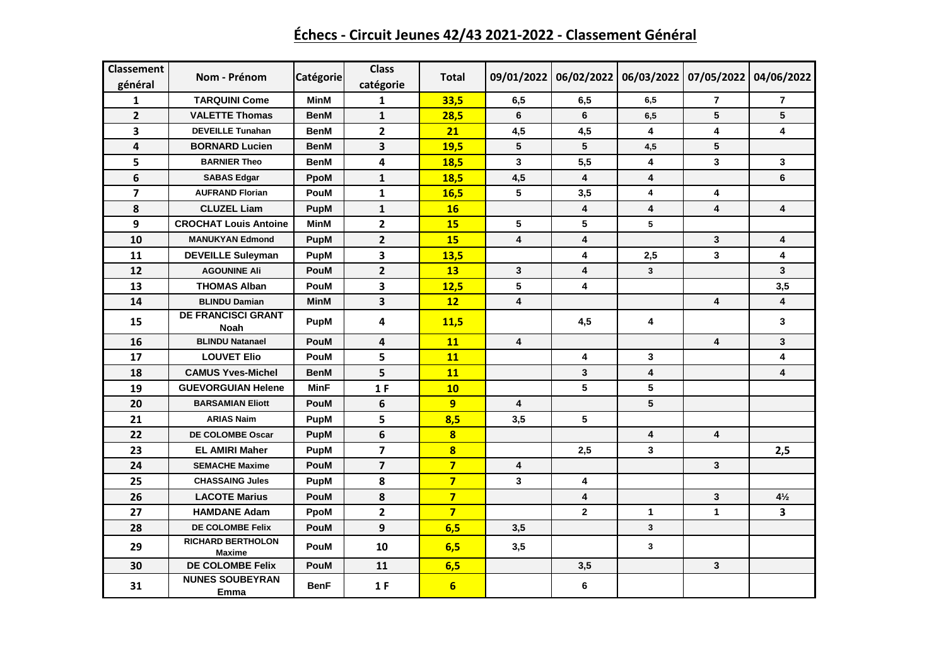| Classement<br>général | Nom - Prénom                              | Catégorie   | <b>Class</b><br>catégorie | <b>Total</b>   | 09/01/2022              |             |                         | 06/02/2022 06/03/2022 07/05/2022 04/06/2022 |                         |
|-----------------------|-------------------------------------------|-------------|---------------------------|----------------|-------------------------|-------------|-------------------------|---------------------------------------------|-------------------------|
| 1                     | <b>TARQUINI Come</b>                      | <b>MinM</b> | 1                         | 33,5           | 6,5                     | 6,5         | 6,5                     | 7                                           | $\overline{7}$          |
| $\overline{2}$        | <b>VALETTE Thomas</b>                     | <b>BenM</b> | $\mathbf{1}$              | 28,5           | 6                       | 6           | 6,5                     | 5                                           | 5                       |
| 3                     | <b>DEVEILLE Tunahan</b>                   | <b>BenM</b> | $\overline{2}$            | 21             | 4,5                     | 4,5         | 4                       | 4                                           | 4                       |
| 4                     | <b>BORNARD Lucien</b>                     | <b>BenM</b> | 3                         | 19,5           | 5                       | 5           | 4,5                     | 5                                           |                         |
| 5                     | <b>BARNIER Theo</b>                       | <b>BenM</b> | 4                         | 18,5           | 3                       | 5,5         | 4                       | 3                                           | 3                       |
| 6                     | <b>SABAS Edgar</b>                        | PpoM        | $\mathbf{1}$              | 18,5           | 4,5                     | 4           | 4                       |                                             | 6                       |
| $\overline{7}$        | <b>AUFRAND Florian</b>                    | <b>PouM</b> | $\mathbf{1}$              | 16,5           | 5                       | 3,5         | 4                       | 4                                           |                         |
| 8                     | <b>CLUZEL Liam</b>                        | <b>PupM</b> | $\mathbf{1}$              | 16             |                         | 4           | $\overline{\mathbf{4}}$ | $\overline{\mathbf{4}}$                     | $\overline{\mathbf{4}}$ |
| 9                     | <b>CROCHAT Louis Antoine</b>              | MinM        | $\overline{2}$            | 15             | 5                       | 5           | 5                       |                                             |                         |
| 10                    | <b>MANUKYAN Edmond</b>                    | <b>PupM</b> | $\overline{2}$            | 15             | $\overline{\mathbf{4}}$ | 4           |                         | 3                                           | $\overline{\mathbf{4}}$ |
| 11                    | <b>DEVEILLE Suleyman</b>                  | <b>PupM</b> | 3                         | 13,5           |                         | 4           | 2,5                     | 3                                           | 4                       |
| 12                    | <b>AGOUNINE Ali</b>                       | <b>PouM</b> | $\overline{2}$            | 13             | 3                       | 4           | $\mathbf{3}$            |                                             | 3                       |
| 13                    | <b>THOMAS Alban</b>                       | PouM        | 3                         | 12,5           | 5                       | 4           |                         |                                             | 3,5                     |
| 14                    | <b>BLINDU Damian</b>                      | MinM        | 3                         | 12             | 4                       |             |                         | 4                                           | $\overline{\mathbf{4}}$ |
| 15                    | <b>DE FRANCISCI GRANT</b><br>Noah         | <b>PupM</b> | 4                         | 11,5           |                         | 4,5         | 4                       |                                             | 3                       |
| 16                    | <b>BLINDU Natanael</b>                    | <b>PouM</b> | 4                         | 11             | $\overline{\mathbf{4}}$ |             |                         | 4                                           | 3                       |
| 17                    | <b>LOUVET Elio</b>                        | <b>PouM</b> | 5                         | 11             |                         | 4           | 3                       |                                             | 4                       |
| 18                    | <b>CAMUS Yves-Michel</b>                  | <b>BenM</b> | 5                         | 11             |                         | 3           | 4                       |                                             | $\overline{\mathbf{4}}$ |
| 19                    | <b>GUEVORGUIAN Helene</b>                 | <b>MinF</b> | 1F                        | 10             |                         | 5           | 5                       |                                             |                         |
| 20                    | <b>BARSAMIAN Eliott</b>                   | PouM        | 6                         | 9              | 4                       |             | 5                       |                                             |                         |
| 21                    | <b>ARIAS Naim</b>                         | <b>PupM</b> | 5                         | 8,5            | 3,5                     | 5           |                         |                                             |                         |
| 22                    | DE COLOMBE Oscar                          | <b>PupM</b> | 6                         | 8              |                         |             | 4                       | 4                                           |                         |
| 23                    | <b>EL AMIRI Maher</b>                     | <b>PupM</b> | $\overline{\mathbf{z}}$   | $\bf{8}$       |                         | 2,5         | 3                       |                                             | 2,5                     |
| 24                    | <b>SEMACHE Maxime</b>                     | <b>PouM</b> | $\overline{7}$            | $\overline{7}$ | $\overline{\mathbf{4}}$ |             |                         | 3                                           |                         |
| 25                    | <b>CHASSAING Jules</b>                    | <b>PupM</b> | 8                         | $\overline{7}$ | 3                       | 4           |                         |                                             |                         |
| 26                    | <b>LACOTE Marius</b>                      | <b>PouM</b> | 8                         | $\overline{7}$ |                         | 4           |                         | 3                                           | $4\frac{1}{2}$          |
| 27                    | <b>HAMDANE Adam</b>                       | PpoM        | $\overline{\mathbf{2}}$   | $\overline{7}$ |                         | $\mathbf 2$ | $\mathbf{1}$            | $\mathbf{1}$                                | 3                       |
| 28                    | DE COLOMBE Felix                          | PouM        | 9                         | 6,5            | 3,5                     |             | $\mathbf{3}$            |                                             |                         |
| 29                    | <b>RICHARD BERTHOLON</b><br><b>Maxime</b> | PouM        | 10                        | 6,5            | 3,5                     |             | 3                       |                                             |                         |
| 30                    | DE COLOMBE Felix                          | <b>PouM</b> | 11                        | 6,5            |                         | 3,5         |                         | 3                                           |                         |
| 31                    | <b>NUNES SOUBEYRAN</b><br>Emma            | <b>BenF</b> | 1F                        | 6              |                         | $\bf 6$     |                         |                                             |                         |

## **Échecs - Circuit Jeunes 42/43 2021-2022 - Classement Général**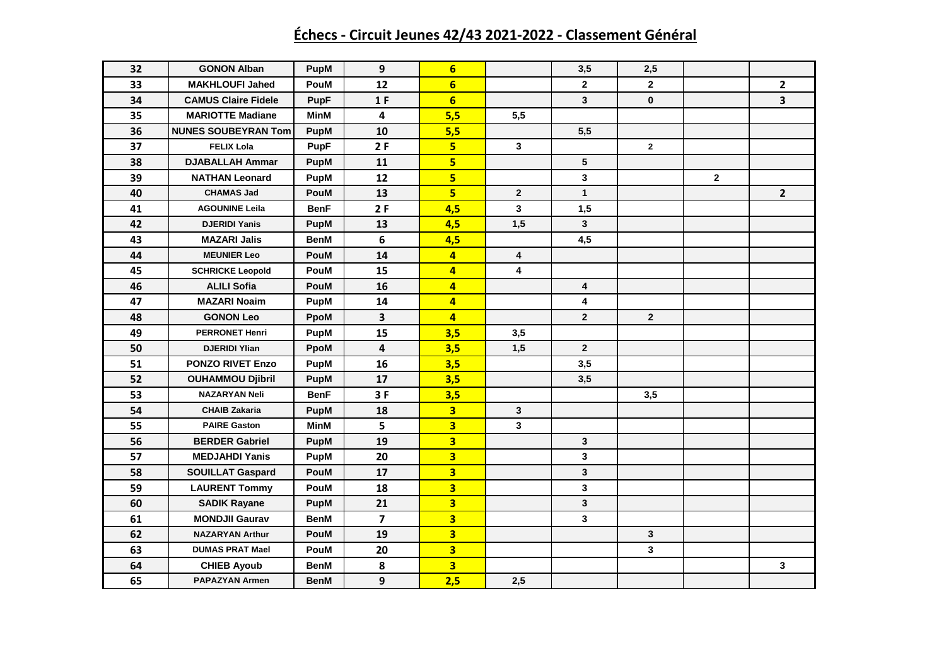## **Échecs - Circuit Jeunes 42/43 2021-2022 - Classement Général**

| 32 | <b>GONON Alban</b>         | PupM        | 9                       | $6\phantom{1}$          |                         | 3,5                     | 2,5            |                |                         |
|----|----------------------------|-------------|-------------------------|-------------------------|-------------------------|-------------------------|----------------|----------------|-------------------------|
| 33 | <b>MAKHLOUFI Jahed</b>     | PouM        | 12                      | $6\phantom{1}$          |                         | $\mathbf{2}$            | $\mathbf{2}$   |                | $\mathbf{2}$            |
| 34 | <b>CAMUS Claire Fidele</b> | <b>PupF</b> | 1 F                     | $6\overline{6}$         |                         | $\overline{\mathbf{3}}$ | $\mathbf 0$    |                | $\overline{\mathbf{3}}$ |
| 35 | <b>MARIOTTE Madiane</b>    | <b>MinM</b> | $\overline{\mathbf{4}}$ | 5,5                     | 5,5                     |                         |                |                |                         |
| 36 | <b>NUNES SOUBEYRAN Tom</b> | <b>PupM</b> | 10                      | 5,5                     |                         | 5,5                     |                |                |                         |
| 37 | <b>FELIX Lola</b>          | <b>PupF</b> | 2F                      | 5 <sup>1</sup>          | 3                       |                         | $\mathbf{2}$   |                |                         |
| 38 | <b>DJABALLAH Ammar</b>     | <b>PupM</b> | 11                      | 5 <sup>1</sup>          |                         | 5                       |                |                |                         |
| 39 | <b>NATHAN Leonard</b>      | <b>PupM</b> | 12                      | 5                       |                         | $\mathbf{3}$            |                | $\overline{2}$ |                         |
| 40 | <b>CHAMAS Jad</b>          | PouM        | 13                      | 5 <sup>1</sup>          | $\mathbf{2}$            | $\mathbf{1}$            |                |                | $2^{\circ}$             |
| 41 | <b>AGOUNINE Leila</b>      | <b>BenF</b> | 2F                      | 4,5                     | $\overline{\mathbf{3}}$ | 1,5                     |                |                |                         |
| 42 | <b>DJERIDI Yanis</b>       | PupM        | 13                      | 4,5                     | 1,5                     | $\mathbf{3}$            |                |                |                         |
| 43 | <b>MAZARI Jalis</b>        | <b>BenM</b> | 6                       | 4,5                     |                         | 4,5                     |                |                |                         |
| 44 | <b>MEUNIER Leo</b>         | PouM        | 14                      | $\overline{4}$          | 4                       |                         |                |                |                         |
| 45 | <b>SCHRICKE Leopold</b>    | PouM        | 15                      | $\overline{4}$          | 4                       |                         |                |                |                         |
| 46 | <b>ALILI Sofia</b>         | <b>PouM</b> | 16                      | $\overline{4}$          |                         | 4                       |                |                |                         |
| 47 | <b>MAZARI Noaim</b>        | PupM        | 14                      | $\overline{\mathbf{4}}$ |                         | 4                       |                |                |                         |
| 48 | <b>GONON Leo</b>           | <b>PpoM</b> | $\mathbf{3}$            | $\overline{4}$          |                         | $\overline{2}$          | $\overline{2}$ |                |                         |
| 49 | <b>PERRONET Henri</b>      | <b>PupM</b> | 15                      | 3,5                     | 3,5                     |                         |                |                |                         |
| 50 | <b>DJERIDI Ylian</b>       | PpoM        | 4                       | 3,5                     | 1,5                     | $\overline{2}$          |                |                |                         |
| 51 | <b>PONZO RIVET Enzo</b>    | PupM        | 16                      | 3,5                     |                         | 3,5                     |                |                |                         |
| 52 | <b>OUHAMMOU Djibril</b>    | PupM        | 17                      | 3,5                     |                         | 3,5                     |                |                |                         |
| 53 | <b>NAZARYAN Neli</b>       | BenF        | 3F                      | 3,5                     |                         |                         | 3,5            |                |                         |
| 54 | <b>CHAIB Zakaria</b>       | PupM        | 18                      | $\overline{\mathbf{3}}$ | 3                       |                         |                |                |                         |
| 55 | <b>PAIRE Gaston</b>        | <b>MinM</b> | 5                       | $\overline{\mathbf{3}}$ | 3                       |                         |                |                |                         |
| 56 | <b>BERDER Gabriel</b>      | <b>PupM</b> | 19                      | $\overline{\mathbf{3}}$ |                         | $\mathbf{3}$            |                |                |                         |
| 57 | <b>MEDJAHDI Yanis</b>      | PupM        | 20                      | $\overline{\mathbf{3}}$ |                         | 3                       |                |                |                         |
| 58 | <b>SOUILLAT Gaspard</b>    | PouM        | 17                      | $\overline{\mathbf{3}}$ |                         | $\mathbf{3}$            |                |                |                         |
| 59 | <b>LAURENT Tommy</b>       | PouM        | 18                      | $\overline{\mathbf{3}}$ |                         | 3                       |                |                |                         |
| 60 | <b>SADIK Rayane</b>        | <b>PupM</b> | 21                      | $\overline{\mathbf{3}}$ |                         | $\mathbf{3}$            |                |                |                         |
| 61 | <b>MONDJII Gaurav</b>      | <b>BenM</b> | $\overline{7}$          | $\overline{\mathbf{3}}$ |                         | 3                       |                |                |                         |
| 62 | <b>NAZARYAN Arthur</b>     | PouM        | 19                      | $\overline{\mathbf{3}}$ |                         |                         | 3              |                |                         |
| 63 | <b>DUMAS PRAT Mael</b>     | PouM        | 20                      | $\overline{\mathbf{3}}$ |                         |                         | 3              |                |                         |
| 64 | <b>CHIEB Ayoub</b>         | BenM        | 8                       | $\overline{\mathbf{3}}$ |                         |                         |                |                | 3                       |
| 65 | <b>PAPAZYAN Armen</b>      | BenM        | 9                       | 2,5                     | 2,5                     |                         |                |                |                         |